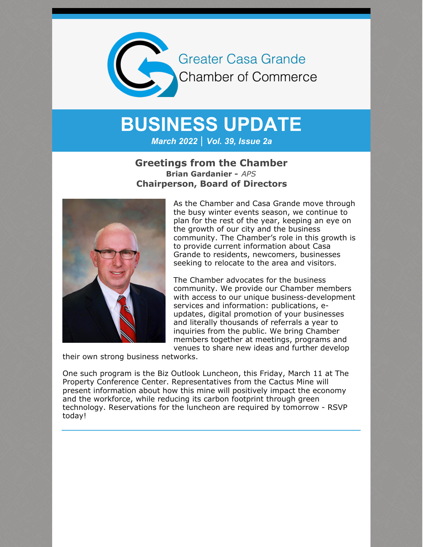

## **BUSINESS UPDATE**

*March 2022 | Vol. 39, Issue 2a*

## **Greetings from the Chamber Brian Gardanier -** *APS* **Chairperson, Board of Directors**



As the Chamber and Casa Grande move through the busy winter events season, we continue to plan for the rest of the year, keeping an eye on the growth of our city and the business community. The Chamber's role in this growth is to provide current information about Casa Grande to residents, newcomers, businesses seeking to relocate to the area and visitors.

The Chamber advocates for the business community. We provide our Chamber members with access to our unique business-development services and information: publications, eupdates, digital promotion of your businesses and literally thousands of referrals a year to inquiries from the public. We bring Chamber members together at meetings, programs and venues to share new ideas and further develop

their own strong business networks.

One such program is the Biz Outlook Luncheon, this Friday, March 11 at The Property Conference Center. Representatives from the Cactus Mine will present information about how this mine will positively impact the economy and the workforce, while reducing its carbon footprint through green technology. Reservations for the luncheon are required by tomorrow - RSVP today!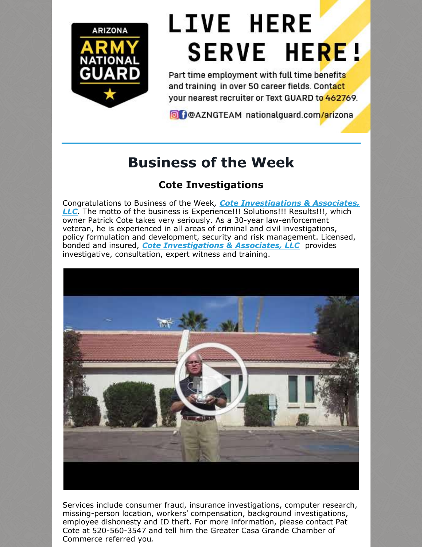

# **LIVE HERE SERVE HERE!**

Part time employment with full time benefits and training in over 50 career fields. Contact your nearest recruiter or Text GUARD to 462769.

O DOAZNGTEAM nationalguard.com/arizona

## **Business of the Week**

## **Cote Investigations**

Congratulations to Business of the Week*, Cote [Investigations](http://www.coteinvestigations.com/) & Associates, LLC.* The motto of the business is Experience!!! Solutions!!! Results!!!, which owner Patrick Cote takes very seriously. As a 30-year law-enforcement veteran, he is experienced in all areas of criminal and civil investigations, policy formulation and development, security and risk management. Licensed, bonded and insured, *Cote [Investigations](http://www.coteinvestigations.com/) & Associates, LLC* provides investigative, consultation, expert witness and training.



Services include consumer fraud, insurance investigations, computer research, missing-person location, workers' compensation, background investigations, employee dishonesty and ID theft. For more information, please contact Pat Cote at 520-560-3547 and tell him the Greater Casa Grande Chamber of Commerce referred you*.*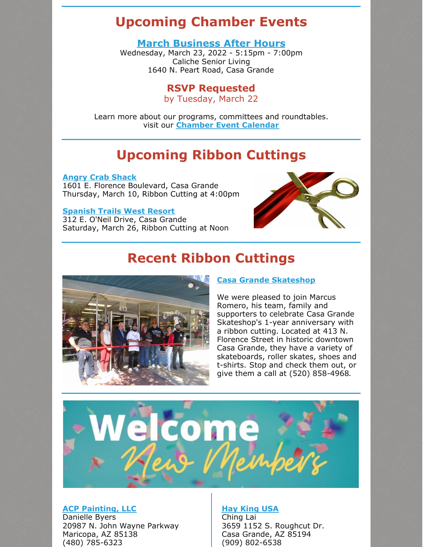## **Upcoming Chamber Events**

### **March [Business](https://cca.casagrandechamber.org/EvtListing.aspx?dbid2=AZCAGR&evtid=28064&class=E) After Hours**

Wednesday, March 23, 2022 - 5:15pm - 7:00pm Caliche Senior Living 1640 N. Peart Road, Casa Grande

## **RSVP Requested**

by Tuesday, March 22

Learn more about our programs, committees and roundtables. visit our **[Chamber](https://cca.casagrandechamber.org/EvtListingMainSearch.aspx) Event Calendar**

## **Upcoming Ribbon Cuttings**

**Angry Crab [Shack](http://www.angrycrabshack.com)** 1601 E. Florence Boulevard, Casa Grande Thursday, March 10, Ribbon Cutting at 4:00pm

#### **[Spanish](http://www.spanishtrailsresort.com) Trails West Resort**

312 E. O'Neil Drive, Casa Grande Saturday, March 26, Ribbon Cutting at Noon



## **Recent Ribbon Cuttings**



#### **Casa Grande [Skateshop](http://www.skatecg.com)**

We were pleased to join Marcus Romero, his team, family and supporters to celebrate Casa Grande Skateshop's 1-year anniversary with a ribbon cutting. Located at 413 N. Florence Street in historic downtown Casa Grande, they have a variety of skateboards, roller skates, shoes and t-shirts. Stop and check them out, or give them a call at (520) 858-4968.



#### **ACP [Painting,](http://www.acppaintingllc.com) LLC**

Danielle Byers 20987 N. John Wayne Parkway Maricopa, AZ 85138 (480) 785-6323

#### **Hay [King](http://www.haykingusa.com) USA**

Ching Lai 3659 1152 S. Roughcut Dr. Casa Grande, AZ 85194 (909) 802-6538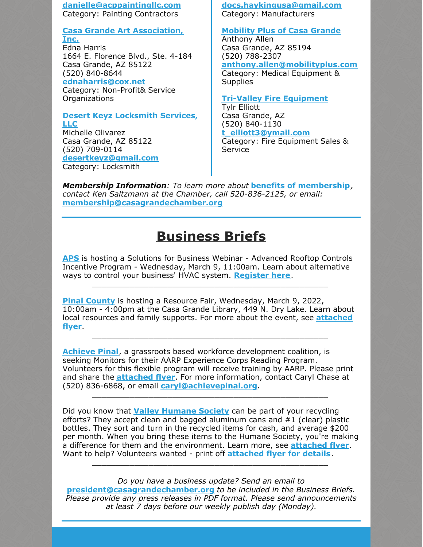**[danielle@acppaintingllc.com](mailto:danielle@acppaintingllc.com)** Category: Painting Contractors

**Casa Grande Art [Association,](http://www.casagrandeartassociation.org) Inc.**

Edna Harris 1664 E. Florence Blvd., Ste. 4-184 Casa Grande, AZ 85122 (520) 840-8644 **[ednaharris@cox.net](mailto:ednaharris@cox.net)**

Category: Non-Profit& Service Organizations

#### **Desert Keyz [Locksmith](http://www.desertkeyz.com) Services, LLC**

Michelle Olivarez Casa Grande, AZ 85122 (520) 709-0114 **[desertkeyz@gmail.com](mailto:desertkeyz@gmail.com)** Category: Locksmith

**[docs.haykingusa@gmail.com](mailto:docs.haykingusa@gmail.com)** Category: Manufacturers

#### **[Mobility](http://www.mobilityplus.com) Plus of Casa Grande**

Anthony Allen Casa Grande, AZ 85194 (520) 788-2307 **[anthony.allen@mobilityplus.com](mailto:anthony.allen@mobilityplus.com)** Category: Medical Equipment & **Supplies** 

#### **Tri-Valley Fire [Equipment](https://www.facebook.com/Tri-Valley-Fire-Equipment-110040190418569/)**

Tylr Elliott Casa Grande, AZ (520) 840-1130 **[t\\_elliott3@ymail.com](mailto:t_elliott3@ymail.com)** Category: Fire Equipment Sales & **Service** 

*Membership Information: To learn more about* **benefits of [membership](https://casagrandechamber.org/member-benefits/)***, contact Ken Saltzmann at the Chamber, call 520-836-2125, or email:* **[membership@casagrandechamber.or](mailto:membership@casagrandechamber.org)g**

## **Business Briefs**

**[APS](http://www.aps.com)** is hosting a Solutions for Business Webinar - Advanced Rooftop Controls Incentive Program - Wednesday, March 9, 11:00am. Learn about alternative ways to control your business' HVAC system. **[Register](https://app.webinar.net/Bq6ZLM79Dxm) here**.

\_\_\_\_\_\_\_\_\_\_\_\_\_\_\_\_\_\_\_\_\_\_\_\_\_\_\_\_\_\_\_\_\_\_\_\_\_\_\_\_\_\_\_\_\_\_\_\_\_\_

**Pinal [County](http://www.pinalcountyaz.gov)** is hosting a Resource Fair, Wednesday, March 9, 2022, 10:00am - 4:00pm at the Casa Grande Library, 449 N. Dry Lake. Learn about local resources and family supports. For more about the event, see **[attached](https://files.constantcontact.com/8c5f2f7b701/a7487668-119c-4f8e-b8f6-c2d3325bc012.pdf?rdr=true) flyer**.

\_\_\_\_\_\_\_\_\_\_\_\_\_\_\_\_\_\_\_\_\_\_\_\_\_\_\_\_\_\_\_\_\_\_\_\_\_\_\_\_\_\_\_\_\_\_\_\_\_\_

**[Achieve](http://www.achievepinal.org/) Pinal**, a grassroots based workforce development coalition, is seeking Monitors for their AARP Experience Corps Reading Program. Volunteers for this flexible program will receive training by AARP. Please print and share the **[attached](https://files.constantcontact.com/8c5f2f7b701/4c59f3e0-c539-464c-b278-00d452eed498.pdf?rdr=true) flyer**. For more information, contact Caryl Chase at (520) 836-6868, or email **[caryl@achievepinal.org](mailto:caryl@achievepinal.org)**.

\_\_\_\_\_\_\_\_\_\_\_\_\_\_\_\_\_\_\_\_\_\_\_\_\_\_\_\_\_\_\_\_\_\_\_\_\_\_\_\_\_\_\_\_\_\_\_\_\_\_

Did you know that **Valley [Humane](http://www.valleyhumane.net) Society** can be part of your recycling efforts? They accept clean and bagged aluminum cans and  $#1$  (clear) plastic bottles. They sort and turn in the recycled items for cash, and average \$200 per month. When you bring these items to the Humane Society, you're making a difference for them and the environment. Learn more, see **[attached](https://files.constantcontact.com/8c5f2f7b701/4b3eaea4-ae55-420d-b2da-0d6f5c3bf0b5.pdf?rdr=true) flyer**. Want to help? Volunteers wanted - print off **[attached](https://files.constantcontact.com/8c5f2f7b701/79ed87ef-a2e5-477c-aac0-448569a07fdd.pdf?rdr=true) flyer for details**.

\_\_\_\_\_\_\_\_\_\_\_\_\_\_\_\_\_\_\_\_\_\_\_\_\_\_\_\_\_\_\_\_\_\_\_\_\_\_\_\_\_\_\_\_\_\_\_\_\_\_

*Do you have a business update? Send an email to* **president@casagrandechamber.org** *to be included in the Business Briefs. Please provide any press releases in PDF format. Please send announcements at least 7 days before our weekly publish day (Monday).*